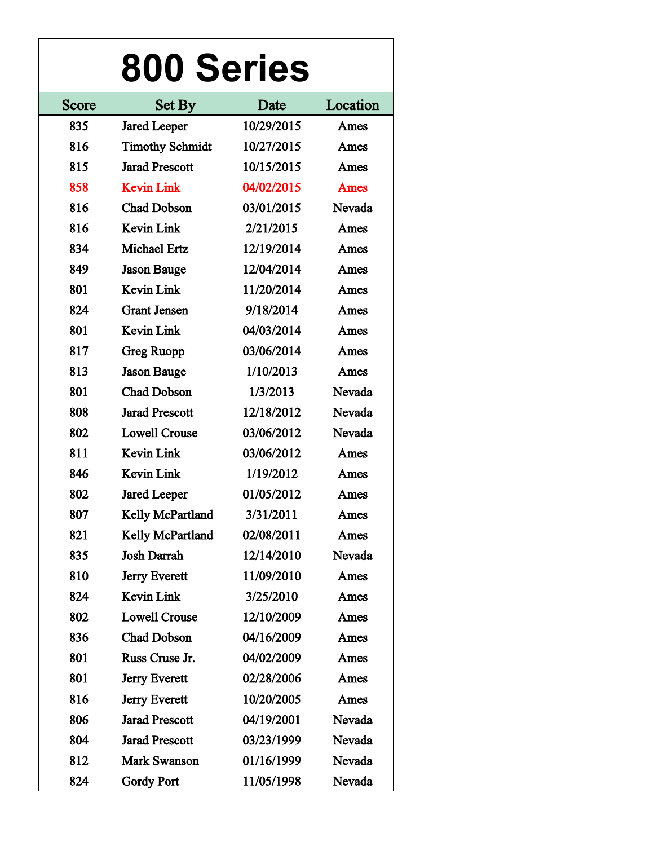|              | <b>800 Series</b>      |            |          |
|--------------|------------------------|------------|----------|
| <b>Score</b> | <b>Set By</b>          | Date       | Location |
| 835          | <b>Jared Leeper</b>    | 10/29/2015 | Ames     |
| 816          | <b>Timothy Schmidt</b> | 10/27/2015 | Ames     |
| 815          | <b>Jarad Prescott</b>  | 10/15/2015 | Ames     |
| 858          | <b>Kevin Link</b>      | 04/02/2015 | Ames     |
| 816          | <b>Chad Dobson</b>     | 03/01/2015 | Nevada   |
| 816          | <b>Kevin Link</b>      | 2/21/2015  | Ames     |
| 834          | <b>Michael Ertz</b>    | 12/19/2014 | Ames     |
| 849          | <b>Jason Bauge</b>     | 12/04/2014 | Ames     |
| 801          | <b>Kevin Link</b>      | 11/20/2014 | Ames     |
| 824          | <b>Grant Jensen</b>    | 9/18/2014  | Ames     |
| 801          | <b>Kevin Link</b>      | 04/03/2014 | Ames     |
| 817          | <b>Greg Ruopp</b>      | 03/06/2014 | Ames     |
| 813          | <b>Jason Bauge</b>     | 1/10/2013  | Ames     |
| 801          | <b>Chad Dobson</b>     | 1/3/2013   | Nevada   |
| 808          | <b>Jarad Prescott</b>  | 12/18/2012 | Nevada   |
| 802          | <b>Lowell Crouse</b>   | 03/06/2012 | Nevada   |
| 811          | <b>Kevin Link</b>      | 03/06/2012 | Ames     |
| 846          | <b>Kevin Link</b>      | 1/19/2012  | Ames     |
| 802          | <b>Jared Leeper</b>    | 01/05/2012 | Ames     |
| 807          | Kelly McPartland       | 3/31/2011  | Ames     |
| 821          | Kelly McPartland       | 02/08/2011 | Ames     |
| 835          | <b>Josh Darrah</b>     | 12/14/2010 | Nevada   |
| 810          | Jerry Everett          | 11/09/2010 | Ames     |
| 824          | <b>Kevin Link</b>      | 3/25/2010  | Ames     |
| 802          | <b>Lowell Crouse</b>   | 12/10/2009 | Ames     |
| 836          | <b>Chad Dobson</b>     | 04/16/2009 | Ames     |
| 801          | Russ Cruse Jr.         | 04/02/2009 | Ames     |
| 801          | <b>Jerry Everett</b>   | 02/28/2006 | Ames     |
| 816          | <b>Jerry Everett</b>   | 10/20/2005 | Ames     |
| 806          | <b>Jarad Prescott</b>  | 04/19/2001 | Nevada   |
| 804          | <b>Jarad Prescott</b>  | 03/23/1999 | Nevada   |
| 812          | <b>Mark Swanson</b>    | 01/16/1999 | Nevada   |
| 824          | <b>Gordy Port</b>      | 11/05/1998 | Nevada   |